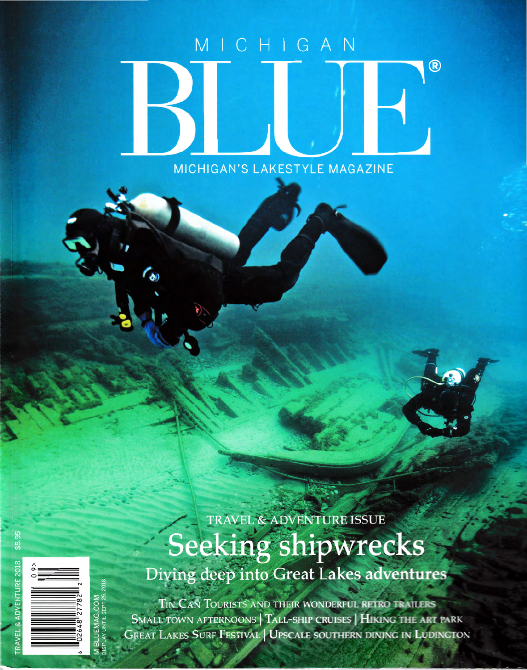## MICHIGAN  $\overline{R}$ MICHIGAN'S LAKESTYLE MAGAZINE



## TRAVEL & ADVENTURE ISSUE Seeking shipwrecks Diving deep into Great Lakes adventures

TIN CAN TOURISTS AND THEIR WONDERFUL RETRO TRAILERS SMALL TOWN AFTERNOONS | TALL-SHIP CRUISES | HIKING THE ART PARK **GREAT LAKES SURF FESTIVAL | UPSCALE SOUTHERN DINING IN LUDINGTON**